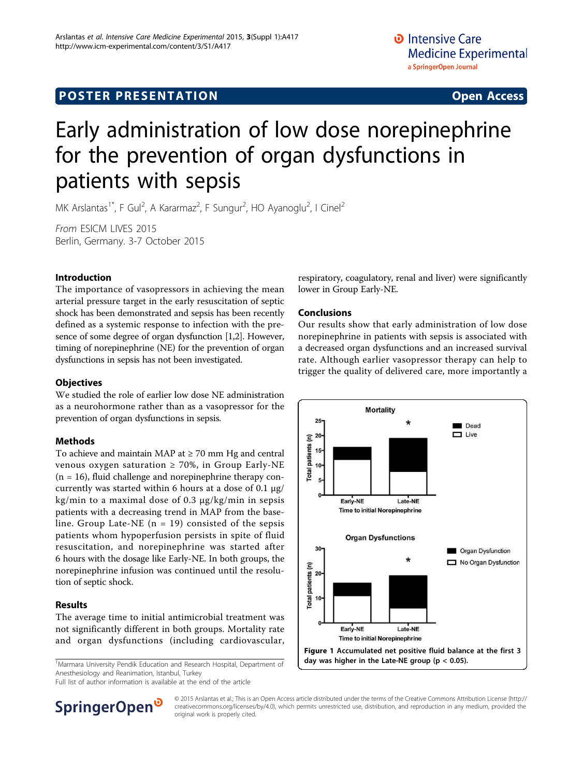## **POSTER PRESENTATION CONSUMING ACCESS**

# Early administration of low dose norepinephrine for the prevention of organ dysfunctions in patients with sepsis

MK Arslantas<sup>1\*</sup>, F Gul<sup>2</sup>, A Kararmaz<sup>2</sup>, F Sungur<sup>2</sup>, HO Ayanoglu<sup>2</sup>, I Cinel<sup>2</sup>

From ESICM LIVES 2015 Berlin, Germany. 3-7 October 2015

#### Introduction

The importance of vasopressors in achieving the mean arterial pressure target in the early resuscitation of septic shock has been demonstrated and sepsis has been recently defined as a systemic response to infection with the presence of some degree of organ dysfunction [\[1,2\]](#page-1-0). However, timing of norepinephrine (NE) for the prevention of organ dysfunctions in sepsis has not been investigated.

#### **Objectives**

We studied the role of earlier low dose NE administration as a neurohormone rather than as a vasopressor for the prevention of organ dysfunctions in sepsis.

#### Methods

To achieve and maintain MAP at  $\geq$  70 mm Hg and central venous oxygen saturation  $\geq 70\%$ , in Group Early-NE  $(n = 16)$ , fluid challenge and norepinephrine therapy concurrently was started within 6 hours at a dose of 0.1  $\mu$ g/ kg/min to a maximal dose of 0.3 µg/kg/min in sepsis patients with a decreasing trend in MAP from the baseline. Group Late-NE  $(n = 19)$  consisted of the sepsis patients whom hypoperfusion persists in spite of fluid resuscitation, and norepinephrine was started after 6 hours with the dosage like Early-NE. In both groups, the norepinephrine infusion was continued until the resolution of septic shock.

#### Results

The average time to initial antimicrobial treatment was not significantly different in both groups. Mortality rate and organ dysfunctions (including cardiovascular,

<sup>1</sup>Marmara University Pendik Education and Research Hospital, Department of Anesthesiology and Reanimation, Istanbul, Turkey

Full list of author information is available at the end of the article



#### Conclusions

Our results show that early administration of low dose norepinephrine in patients with sepsis is associated with a decreased organ dysfunctions and an increased survival rate. Although earlier vasopressor therapy can help to trigger the quality of delivered care, more importantly a



SpringerOpen<sup>®</sup>

© 2015 Arslantas et al.; This is an Open Access article distributed under the terms of the Creative Commons Attribution License [\(http://](http://creativecommons.org/licenses/by/4.0) [creativecommons.org/licenses/by/4.0](http://creativecommons.org/licenses/by/4.0)), which permits unrestricted use, distribution, and reproduction in any medium, provided the original work is properly cited.